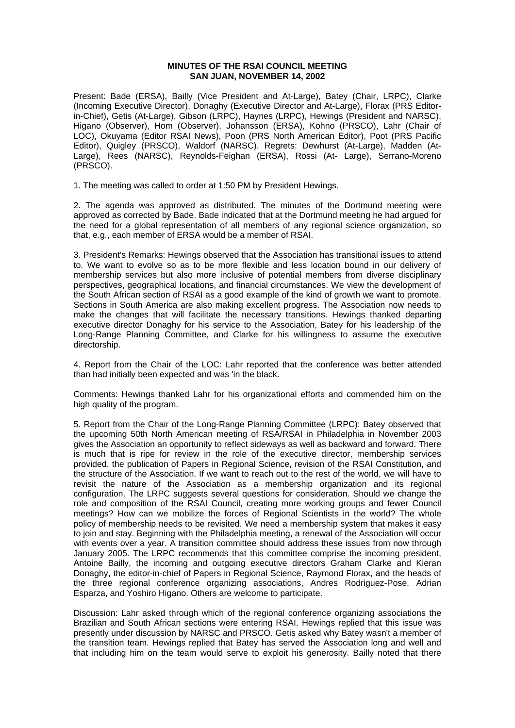## **MINUTES OF THE RSAI COUNCIL MEETING SAN JUAN, NOVEMBER 14, 2002**

Present: Bade (ERSA), Bailly (Vice President and At-Large), Batey (Chair, LRPC), Clarke (Incoming Executive Director), Donaghy (Executive Director and At-Large), Florax (PRS Editorin-Chief), Getis (At-Large), Gibson (LRPC), Haynes (LRPC), Hewings (President and NARSC), Higano (Observer), Hom (Observer), Johansson (ERSA), Kohno (PRSCO), Lahr (Chair of LOC), Okuyama (Editor RSAI News), Poon (PRS North American Editor), Poot (PRS Pacific Editor), Quigley (PRSCO), Waldorf (NARSC). Regrets: Dewhurst (At-Large), Madden (At-Large), Rees (NARSC), Reynolds-Feighan (ERSA), Rossi (At- Large), Serrano-Moreno (PRSCO).

1. The meeting was called to order at 1:50 PM by President Hewings.

2. The agenda was approved as distributed. The minutes of the Dortmund meeting were approved as corrected by Bade. Bade indicated that at the Dortmund meeting he had argued for the need for a global representation of all members of any regional science organization, so that, e.g., each member of ERSA would be a member of RSAI.

3. President's Remarks: Hewings observed that the Association has transitional issues to attend to. We want to evolve so as to be more flexible and less location bound in our delivery of membership services but also more inclusive of potential members from diverse disciplinary perspectives, geographical locations, and financial circumstances. We view the development of the South African section of RSAI as a good example of the kind of growth we want to promote. Sections in South America are also making excellent progress. The Association now needs to make the changes that will facilitate the necessary transitions. Hewings thanked departing executive director Donaghy for his service to the Association, Batey for his leadership of the Long-Range Planning Committee, and Clarke for his willingness to assume the executive directorship.

4. Report from the Chair of the LOC: Lahr reported that the conference was better attended than had initially been expected and was 'in the black.

Comments: Hewings thanked Lahr for his organizational efforts and commended him on the high quality of the program.

5. Report from the Chair of the Long-Range Planning Committee (LRPC): Batey observed that the upcoming 50th North American meeting of RSA/RSAI in Philadelphia in November 2003 gives the Association an opportunity to reflect sideways as well as backward and forward. There is much that is ripe for review in the role of the executive director, membership services provided, the publication of Papers in Regional Science, revision of the RSAI Constitution, and the structure of the Association. If we want to reach out to the rest of the world, we will have to revisit the nature of the Association as a membership organization and its regional configuration. The LRPC suggests several questions for consideration. Should we change the role and composition of the RSAI Council, creating more working groups and fewer Council meetings? How can we mobilize the forces of Regional Scientists in the world? The whole policy of membership needs to be revisited. We need a membership system that makes it easy to join and stay. Beginning with the Philadelphia meeting, a renewal of the Association will occur with events over a year. A transition committee should address these issues from now through January 2005. The LRPC recommends that this committee comprise the incoming president, Antoine Bailly, the incoming and outgoing executive directors Graham Clarke and Kieran Donaghy, the editor-in-chief of Papers in Regional Science, Raymond Florax, and the heads of the three regional conference organizing associations, Andres Rodriguez-Pose, Adrian Esparza, and Yoshiro Higano. Others are welcome to participate.

Discussion: Lahr asked through which of the regional conference organizing associations the Brazilian and South African sections were entering RSAI. Hewings replied that this issue was presently under discussion by NARSC and PRSCO. Getis asked why Batey wasn't a member of the transition team. Hewings replied that Batey has served the Association long and well and that including him on the team would serve to exploit his generosity. Bailly noted that there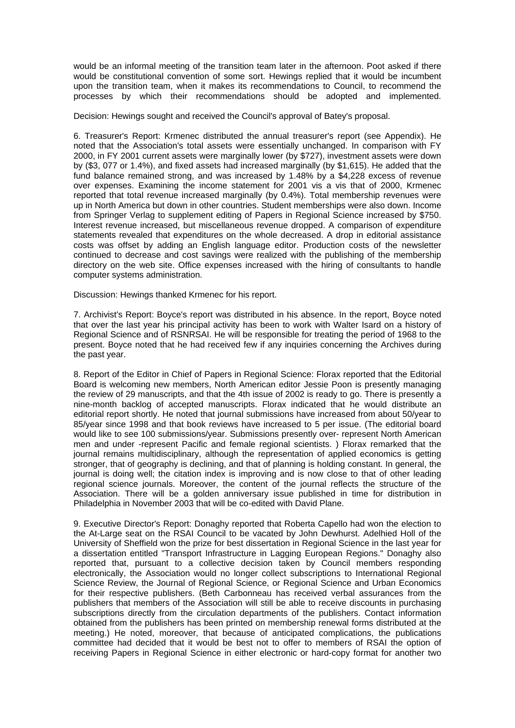would be an informal meeting of the transition team later in the afternoon. Poot asked if there would be constitutional convention of some sort. Hewings replied that it would be incumbent upon the transition team, when it makes its recommendations to Council, to recommend the processes by which their recommendations should be adopted and implemented.

Decision: Hewings sought and received the Council's approval of Batey's proposal.

6. Treasurer's Report: Krmenec distributed the annual treasurer's report (see Appendix). He noted that the Association's total assets were essentially unchanged. In comparison with FY 2000, in FY 2001 current assets were marginally lower (by \$727), investment assets were down by (\$3, 077 or 1.4%), and fixed assets had increased marginally (by \$1,615). He added that the fund balance remained strong, and was increased by 1.48% by a \$4,228 excess of revenue over expenses. Examining the income statement for 2001 vis a vis that of 2000, Krmenec reported that total revenue increased marginally (by 0.4%). Total membership revenues were up in North America but down in other countries. Student memberships were also down. Income from Springer Verlag to supplement editing of Papers in Regional Science increased by \$750. Interest revenue increased, but miscellaneous revenue dropped. A comparison of expenditure statements revealed that expenditures on the whole decreased. A drop in editorial assistance costs was offset by adding an English language editor. Production costs of the newsletter continued to decrease and cost savings were realized with the publishing of the membership directory on the web site. Office expenses increased with the hiring of consultants to handle computer systems administration.

Discussion: Hewings thanked Krmenec for his report.

7. Archivist's Report: Boyce's report was distributed in his absence. In the report, Boyce noted that over the last year his principal activity has been to work with Walter Isard on a history of Regional Science and of RSNRSAI. He will be responsible for treating the period of 1968 to the present. Boyce noted that he had received few if any inquiries concerning the Archives during the past year.

8. Report of the Editor in Chief of Papers in Regional Science: Florax reported that the Editorial Board is welcoming new members, North American editor Jessie Poon is presently managing the review of 29 manuscripts, and that the 4th issue of 2002 is ready to go. There is presently a nine-month backlog of accepted manuscripts. Florax indicated that he would distribute an editorial report shortly. He noted that journal submissions have increased from about 50/year to 85/year since 1998 and that book reviews have increased to 5 per issue. (The editorial board would like to see 100 submissions/year. Submissions presently over- represent North American men and under -represent Pacific and female regional scientists. ) Florax remarked that the journal remains multidisciplinary, although the representation of applied economics is getting stronger, that of geography is declining, and that of planning is holding constant. In general, the journal is doing well; the citation index is improving and is now close to that of other leading regional science journals. Moreover, the content of the journal reflects the structure of the Association. There will be a golden anniversary issue published in time for distribution in Philadelphia in November 2003 that will be co-edited with David Plane.

9. Executive Director's Report: Donaghy reported that Roberta Capello had won the election to the At-Large seat on the RSAI Council to be vacated by John Dewhurst. Adelhied Holl of the University of Sheffield won the prize for best dissertation in Regional Science in the last year for a dissertation entitled "Transport Infrastructure in Lagging European Regions." Donaghy also reported that, pursuant to a collective decision taken by Council members responding electronically, the Association would no longer collect subscriptions to International Regional Science Review, the Journal of Regional Science, or Regional Science and Urban Economics for their respective publishers. (Beth Carbonneau has received verbal assurances from the publishers that members of the Association will still be able to receive discounts in purchasing subscriptions directly from the circulation departments of the publishers. Contact information obtained from the publishers has been printed on membership renewal forms distributed at the meeting.) He noted, moreover, that because of anticipated complications, the publications committee had decided that it would be best not to offer to members of RSAI the option of receiving Papers in Regional Science in either electronic or hard-copy format for another two